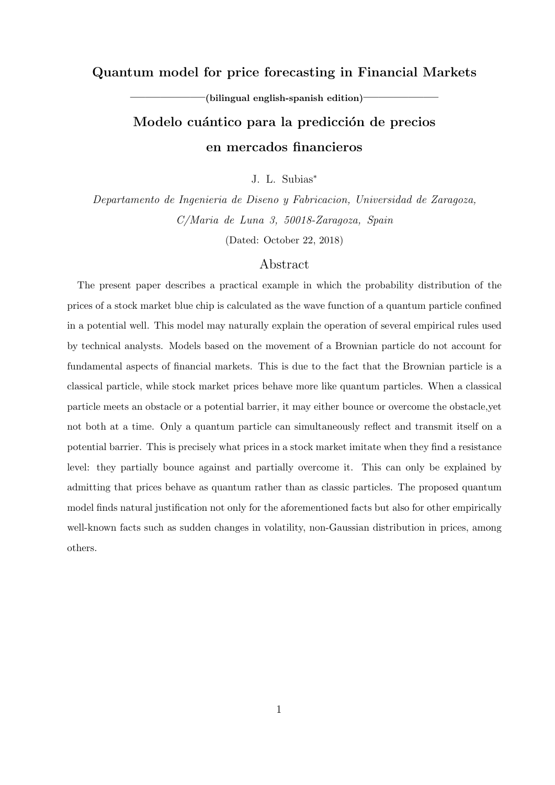# **Quantum model for price forecasting in Financial Markets**

 $-$ (bilingual english-spanish edition)<sup>--</sup>

# Modelo cuántico para la predicción de precios **en mercados financieros**

J. L. Subias*<sup>∗</sup>*

*Departamento de Ingenieria de Diseno y Fabricacion, Universidad de Zaragoza, C/Maria de Luna 3, 50018-Zaragoza, Spain*

(Dated: October 22, 2018)

# Abstract

The present paper describes a practical example in which the probability distribution of the prices of a stock market blue chip is calculated as the wave function of a quantum particle confined in a potential well. This model may naturally explain the operation of several empirical rules used by technical analysts. Models based on the movement of a Brownian particle do not account for fundamental aspects of financial markets. This is due to the fact that the Brownian particle is a classical particle, while stock market prices behave more like quantum particles. When a classical particle meets an obstacle or a potential barrier, it may either bounce or overcome the obstacle,yet not both at a time. Only a quantum particle can simultaneously reflect and transmit itself on a potential barrier. This is precisely what prices in a stock market imitate when they find a resistance level: they partially bounce against and partially overcome it. This can only be explained by admitting that prices behave as quantum rather than as classic particles. The proposed quantum model finds natural justification not only for the aforementioned facts but also for other empirically well-known facts such as sudden changes in volatility, non-Gaussian distribution in prices, among others.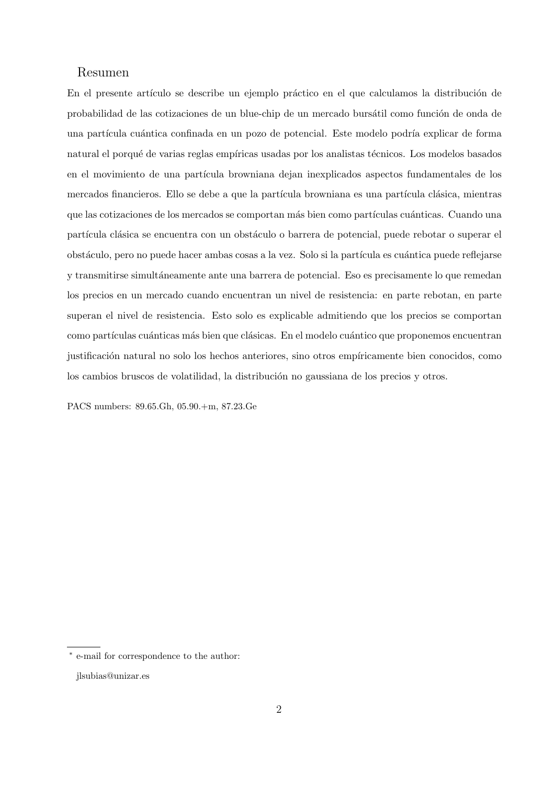# Resumen

En el presente artículo se describe un ejemplo práctico en el que calculamos la distribución de probabilidad de las cotizaciones de un blue-chip de un mercado bursátil como función de onda de una partícula cuántica confinada en un pozo de potencial. Este modelo podría explicar de forma natural el porqué de varias reglas empíricas usadas por los analistas técnicos. Los modelos basados en el movimiento de una partícula browniana dejan inexplicados aspectos fundamentales de los mercados financieros. Ello se debe a que la partícula browniana es una partícula clásica, mientras que las cotizaciones de los mercados se comportan más bien como partículas cuánticas. Cuando una partícula clásica se encuentra con un obstáculo o barrera de potencial, puede rebotar o superar el obstáculo, pero no puede hacer ambas cosas a la vez. Solo si la partícula es cuántica puede reflejarse y transmitirse simult´aneamente ante una barrera de potencial. Eso es precisamente lo que remedan los precios en un mercado cuando encuentran un nivel de resistencia: en parte rebotan, en parte superan el nivel de resistencia. Esto solo es explicable admitiendo que los precios se comportan como partículas cuánticas más bien que clásicas. En el modelo cuántico que proponemos encuentran justificación natural no solo los hechos anteriores, sino otros empíricamente bien conocidos, como los cambios bruscos de volatilidad, la distribución no gaussiana de los precios y otros.

PACS numbers: 89.65.Gh, 05.90.+m, 87.23.Ge

*<sup>∗</sup>* e-mail for correspondence to the author:

jlsubias@unizar.es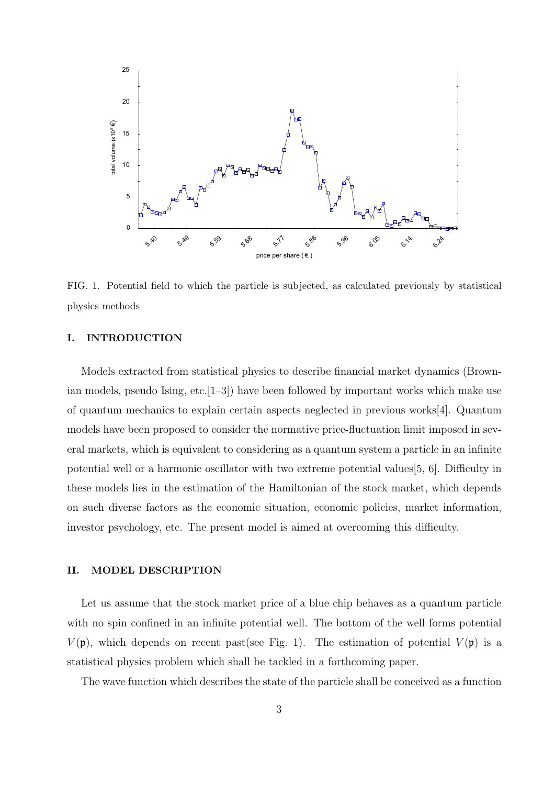

FIG. 1. Potential field to which the particle is subjected, as calculated previously by statistical physics methods

## **I. INTRODUCTION**

Models extracted from statistical physics to describe financial market dynamics (Brownian models, pseudo Ising, etc.[1–3]) have been followed by important works which make use of quantum mechanics to explain certain aspects neglected in previous works[4]. Quantum models have been proposed to consider the normative price-fluctuation limit imposed in several markets, which is equivalent to considering as a quantum system a particle in an infinite potential well or a harmonic oscillator with two extreme potential values[5, 6]. Difficulty in these models lies in the estimation of the Hamiltonian of the stock market, which depends on such diverse factors as the economic situation, economic policies, market information, investor psychology, etc. The present model is aimed at overcoming this difficulty.

## **II. MODEL DESCRIPTION**

Let us assume that the stock market price of a blue chip behaves as a quantum particle with no spin confined in an infinite potential well. The bottom of the well forms potential  $V(\mathfrak{p})$ , which depends on recent past(see Fig. 1). The estimation of potential  $V(\mathfrak{p})$  is a statistical physics problem which shall be tackled in a forthcoming paper.

The wave function which describes the state of the particle shall be conceived as a function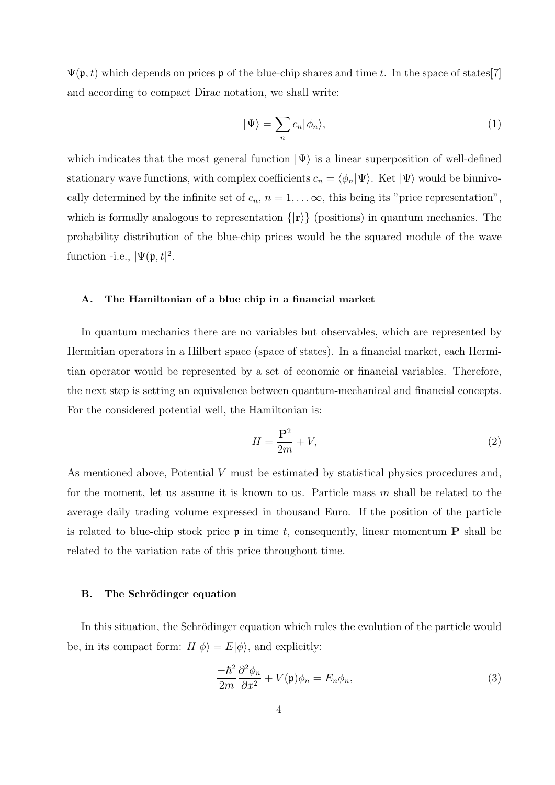$\Psi(\mathfrak{p},t)$  which depends on prices p of the blue-chip shares and time t. In the space of states<sup>[7]</sup> and according to compact Dirac notation, we shall write:

$$
|\Psi\rangle = \sum_{n} c_n |\phi_n\rangle,\tag{1}
$$

which indicates that the most general function  $|\Psi\rangle$  is a linear superposition of well-defined stationary wave functions, with complex coefficients  $c_n = \langle \phi_n | \Psi \rangle$ . Ket  $| \Psi \rangle$  would be biunivocally determined by the infinite set of  $c_n$ ,  $n = 1, \ldots, \infty$ , this being its "price representation", which is formally analogous to representation *{|***r***⟩}* (positions) in quantum mechanics. The probability distribution of the blue-chip prices would be the squared module of the wave function -i.e.,  $|\Psi(\mathfrak{p},t)|^2$ .

## **A. The Hamiltonian of a blue chip in a financial market**

In quantum mechanics there are no variables but observables, which are represented by Hermitian operators in a Hilbert space (space of states). In a financial market, each Hermitian operator would be represented by a set of economic or financial variables. Therefore, the next step is setting an equivalence between quantum-mechanical and financial concepts. For the considered potential well, the Hamiltonian is:

$$
H = \frac{\mathbf{P}^2}{2m} + V,\tag{2}
$$

As mentioned above, Potential *V* must be estimated by statistical physics procedures and, for the moment, let us assume it is known to us. Particle mass *m* shall be related to the average daily trading volume expressed in thousand Euro. If the position of the particle is related to blue-chip stock price  $\mathfrak{p}$  in time t, consequently, linear momentum **P** shall be related to the variation rate of this price throughout time.

#### **B.** The Schrödinger equation

In this situation, the Schrödinger equation which rules the evolution of the particle would be, in its compact form:  $H|\phi\rangle = E|\phi\rangle$ , and explicitly:

$$
\frac{-\hbar^2}{2m}\frac{\partial^2 \phi_n}{\partial x^2} + V(\mathfrak{p})\phi_n = E_n \phi_n,\tag{3}
$$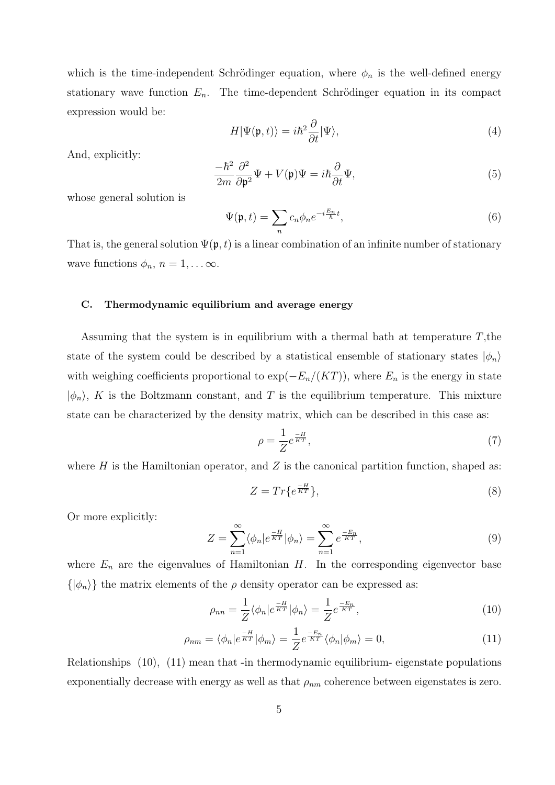which is the time-independent Schrödinger equation, where  $\phi_n$  is the well-defined energy stationary wave function  $E_n$ . The time-dependent Schrödinger equation in its compact expression would be:

$$
H|\Psi(\mathfrak{p},t)\rangle = i\hbar^2 \frac{\partial}{\partial t}|\Psi\rangle,
$$
\n(4)

And, explicitly:

$$
\frac{-\hbar^2}{2m}\frac{\partial^2}{\partial \mathfrak{p}^2}\Psi + V(\mathfrak{p})\Psi = i\hbar\frac{\partial}{\partial t}\Psi,\tag{5}
$$

whose general solution is

$$
\Psi(\mathfrak{p},t) = \sum_{n} c_n \phi_n e^{-i\frac{E_n}{\hbar}t},\tag{6}
$$

That is, the general solution  $\Psi(\mathfrak{p},t)$  is a linear combination of an infinite number of stationary wave functions  $\phi_n$ ,  $n = 1, \ldots \infty$ .

## **C. Thermodynamic equilibrium and average energy**

Assuming that the system is in equilibrium with a thermal bath at temperature *T*,the state of the system could be described by a statistical ensemble of stationary states  $|\phi_n\rangle$ with weighing coefficients proportional to  $\exp(-E_n/(KT))$ , where  $E_n$  is the energy in state  $|\phi_n\rangle$ , *K* is the Boltzmann constant, and *T* is the equilibrium temperature. This mixture state can be characterized by the density matrix, which can be described in this case as:

$$
\rho = \frac{1}{Z} e^{\frac{-H}{KT}},\tag{7}
$$

where  $H$  is the Hamiltonian operator, and  $Z$  is the canonical partition function, shaped as:

$$
Z = Tr\{e^{\frac{-H}{KT}}\},\tag{8}
$$

Or more explicitly:

$$
Z = \sum_{n=1}^{\infty} \langle \phi_n | e^{\frac{-H}{KT}} | \phi_n \rangle = \sum_{n=1}^{\infty} e^{\frac{-E_n}{KT}}, \qquad (9)
$$

where  $E_n$  are the eigenvalues of Hamiltonian  $H$ . In the corresponding eigenvector base  $\{\ket{\phi_n}\}\$  the matrix elements of the *ρ* density operator can be expressed as:

$$
\rho_{nn} = \frac{1}{Z} \langle \phi_n | e^{\frac{-H}{KT}} | \phi_n \rangle = \frac{1}{Z} e^{\frac{-E_n}{KT}}, \qquad (10)
$$

$$
\rho_{nm} = \langle \phi_n | e^{\frac{-H}{KT}} | \phi_m \rangle = \frac{1}{Z} e^{\frac{-E_n}{KT}} \langle \phi_n | \phi_m \rangle = 0, \tag{11}
$$

Relationships (10), (11) mean that -in thermodynamic equilibrium- eigenstate populations exponentially decrease with energy as well as that  $\rho_{nm}$  coherence between eigenstates is zero.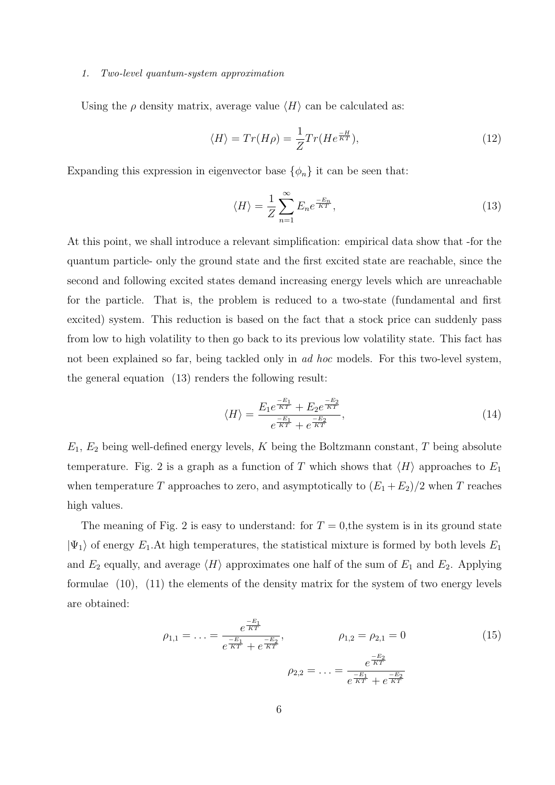#### *1. Two-level quantum-system approximation*

Using the  $\rho$  density matrix, average value  $\langle H \rangle$  can be calculated as:

$$
\langle H \rangle = Tr(H\rho) = \frac{1}{Z} Tr(He^{\frac{-H}{KT}}),\tag{12}
$$

Expanding this expression in eigenvector base  $\{\phi_n\}$  it can be seen that:

$$
\langle H \rangle = \frac{1}{Z} \sum_{n=1}^{\infty} E_n e^{\frac{-E_n}{KT}},\tag{13}
$$

At this point, we shall introduce a relevant simplification: empirical data show that -for the quantum particle- only the ground state and the first excited state are reachable, since the second and following excited states demand increasing energy levels which are unreachable for the particle. That is, the problem is reduced to a two-state (fundamental and first excited) system. This reduction is based on the fact that a stock price can suddenly pass from low to high volatility to then go back to its previous low volatility state. This fact has not been explained so far, being tackled only in *ad hoc* models. For this two-level system, the general equation (13) renders the following result:

$$
\langle H \rangle = \frac{E_1 e^{\frac{-E_1}{KT}} + E_2 e^{\frac{-E_2}{KT}}}{e^{\frac{-E_1}{KT}} + e^{\frac{-E_2}{KT}}},\tag{14}
$$

*E*1, *E*<sup>2</sup> being well-defined energy levels, *K* being the Boltzmann constant, *T* being absolute temperature. Fig. 2 is a graph as a function of *T* which shows that  $\langle H \rangle$  approaches to  $E_1$ when temperature *T* approaches to zero, and asymptotically to  $(E_1 + E_2)/2$  when *T* reaches high values.

The meaning of Fig. 2 is easy to understand: for  $T = 0$ , the system is in its ground state  $|\Psi_1\rangle$  of energy  $E_1$ . At high temperatures, the statistical mixture is formed by both levels  $E_1$ and  $E_2$  equally, and average  $\langle H \rangle$  approximates one half of the sum of  $E_1$  and  $E_2$ . Applying formulae (10), (11) the elements of the density matrix for the system of two energy levels are obtained:

$$
\rho_{1,1} = \dots = \frac{e^{\frac{-E_1}{KT}}}{e^{\frac{-E_1}{KT}} + e^{\frac{-E_2}{KT}}}, \qquad \rho_{1,2} = \rho_{2,1} = 0 \tag{15}
$$
\n
$$
\rho_{2,2} = \dots = \frac{e^{\frac{-E_2}{KT}}}{e^{\frac{-E_1}{KT}} + e^{\frac{-E_2}{KT}}}
$$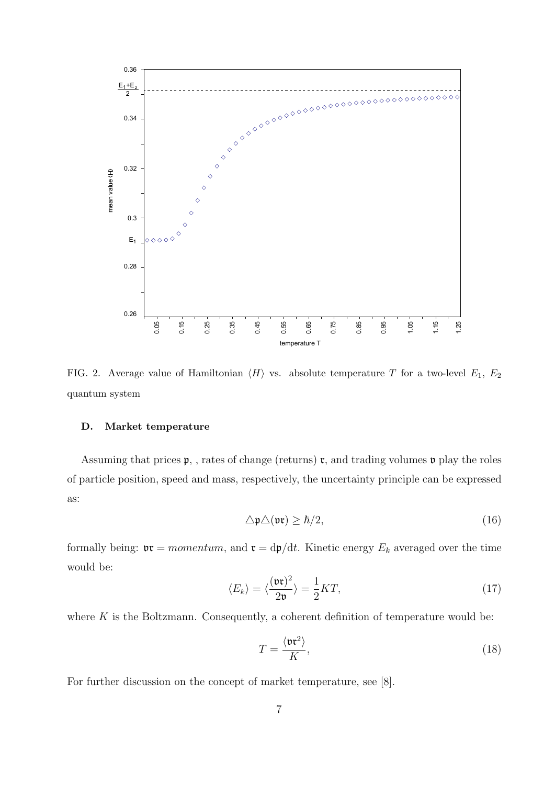

FIG. 2. Average value of Hamiltonian  $\langle H \rangle$  vs. absolute temperature *T* for a two-level  $E_1, E_2$ quantum system

## **D. Market temperature**

Assuming that prices  $\mathfrak{p}$ , , rates of change (returns)  $\mathfrak{r}$ , and trading volumes  $\mathfrak{v}$  play the roles of particle position, speed and mass, respectively, the uncertainty principle can be expressed as:

$$
\Delta \mathfrak{p} \Delta(\mathfrak{vr}) \geq \hbar/2,\tag{16}
$$

formally being:  $\mathfrak{v} \mathfrak{r} = momentum$ , and  $\mathfrak{r} = dp/dt$ . Kinetic energy  $E_k$  averaged over the time would be:

$$
\langle E_k \rangle = \langle \frac{(\mathfrak{v} \mathfrak{r})^2}{2\mathfrak{v}} \rangle = \frac{1}{2} KT,
$$
\n(17)

where  $K$  is the Boltzmann. Consequently, a coherent definition of temperature would be:

$$
T = \frac{\langle \mathfrak{v} \mathfrak{r}^2 \rangle}{K},\tag{18}
$$

For further discussion on the concept of market temperature, see [8].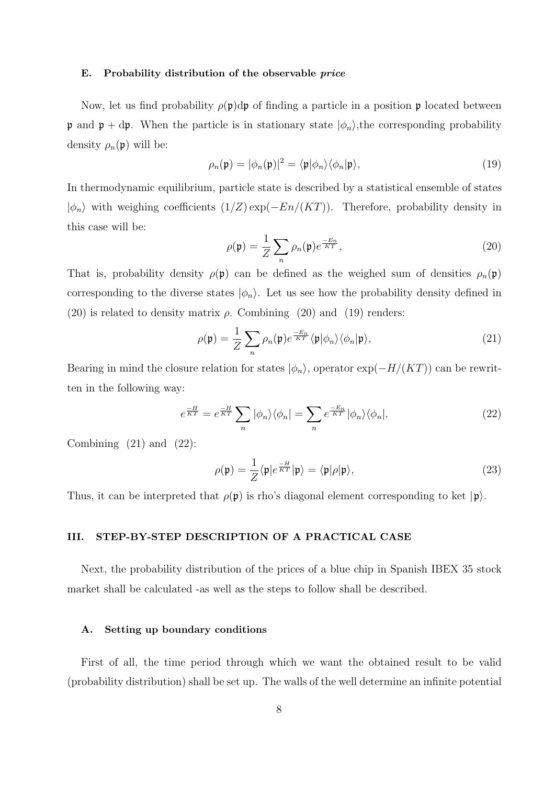#### **E. Probability distribution of the observable** *price*

Now, let us find probability  $\rho(\mathfrak{p})d\mathfrak{p}$  of finding a particle in a position  $\mathfrak{p}$  located between p and  $p + dp$ . When the particle is in stationary state  $|\phi_n\rangle$ , the corresponding probability density  $\rho_n(\mathfrak{p})$  will be:

$$
\rho_n(\mathfrak{p}) = |\phi_n(\mathfrak{p})|^2 = \langle \mathfrak{p} | \phi_n \rangle \langle \phi_n | \mathfrak{p} \rangle, \tag{19}
$$

In thermodynamic equilibrium, particle state is described by a statistical ensemble of states *|ϕn⟩* with weighing coefficients (1*/Z*) exp(*−En/*(*KT*)). Therefore, probability density in this case will be:

$$
\rho(\mathfrak{p}) = \frac{1}{Z} \sum_{n} \rho_n(\mathfrak{p}) e^{\frac{-E_n}{KT}}, \qquad (20)
$$

That is, probability density  $\rho(\mathfrak{p})$  can be defined as the weighed sum of densities  $\rho_n(\mathfrak{p})$ corresponding to the diverse states  $|\phi_n\rangle$ . Let us see how the probability density defined in (20) is related to density matrix  $\rho$ . Combining (20) and (19) renders:

$$
\rho(\mathfrak{p}) = \frac{1}{Z} \sum_{n} \rho_n(\mathfrak{p}) e^{\frac{-E_n}{KT}} \langle \mathfrak{p} | \phi_n \rangle \langle \phi_n | \mathfrak{p} \rangle, \tag{21}
$$

Bearing in mind the closure relation for states  $|\phi_n\rangle$ , operator  $\exp(-H/(KT))$  can be rewritten in the following way:

$$
e^{\frac{-H}{KT}} = e^{\frac{-H}{KT}} \sum_{n} |\phi_n\rangle\langle\phi_n| = \sum_{n} e^{\frac{-E_n}{KT}} |\phi_n\rangle\langle\phi_n|,
$$
 (22)

Combining  $(21)$  and  $(22)$ :

$$
\rho(\mathfrak{p}) = \frac{1}{Z} \langle \mathfrak{p} | e^{\frac{-H}{KT}} | \mathfrak{p} \rangle = \langle \mathfrak{p} | \rho | \mathfrak{p} \rangle, \tag{23}
$$

Thus, it can be interpreted that  $\rho(\mathfrak{p})$  is rho's diagonal element corresponding to ket  $|\mathfrak{p}\rangle$ .

# **III. STEP-BY-STEP DESCRIPTION OF A PRACTICAL CASE**

Next, the probability distribution of the prices of a blue chip in Spanish IBEX 35 stock market shall be calculated -as well as the steps to follow shall be described.

## **A. Setting up boundary conditions**

First of all, the time period through which we want the obtained result to be valid (probability distribution) shall be set up. The walls of the well determine an infinite potential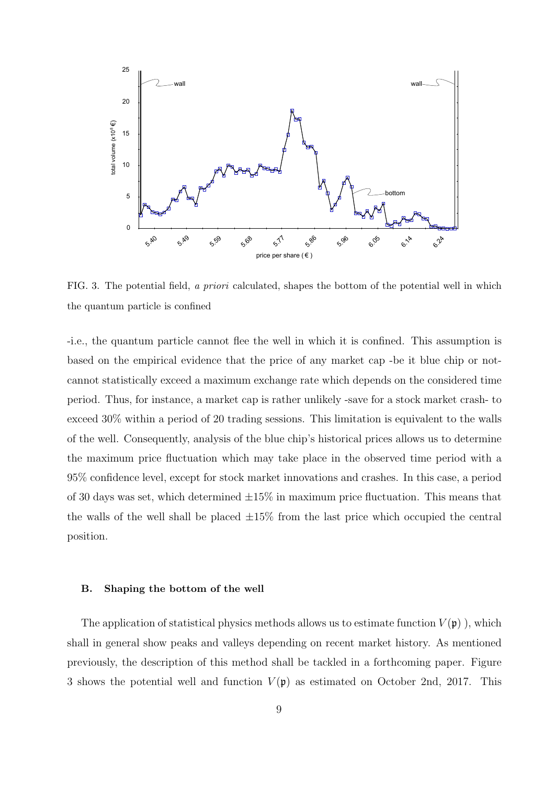

FIG. 3. The potential field, *a priori* calculated, shapes the bottom of the potential well in which the quantum particle is confined

-i.e., the quantum particle cannot flee the well in which it is confined. This assumption is based on the empirical evidence that the price of any market cap -be it blue chip or notcannot statistically exceed a maximum exchange rate which depends on the considered time period. Thus, for instance, a market cap is rather unlikely -save for a stock market crash- to exceed 30% within a period of 20 trading sessions. This limitation is equivalent to the walls of the well. Consequently, analysis of the blue chip's historical prices allows us to determine the maximum price fluctuation which may take place in the observed time period with a 95% confidence level, except for stock market innovations and crashes. In this case, a period of 30 days was set, which determined *±*15% in maximum price fluctuation. This means that the walls of the well shall be placed *±*15% from the last price which occupied the central position.

#### **B. Shaping the bottom of the well**

The application of statistical physics methods allows us to estimate function  $V(\mathfrak{p})$ , which shall in general show peaks and valleys depending on recent market history. As mentioned previously, the description of this method shall be tackled in a forthcoming paper. Figure 3 shows the potential well and function  $V(\mathfrak{p})$  as estimated on October 2nd, 2017. This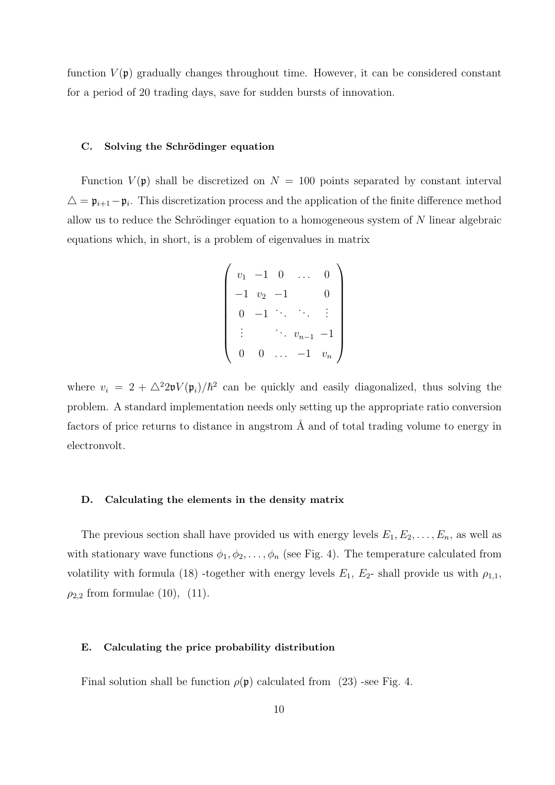function  $V(\mathfrak{p})$  gradually changes throughout time. However, it can be considered constant for a period of 20 trading days, save for sudden bursts of innovation.

#### **C.** Solving the Schrödinger equation

Function  $V(\mathfrak{p})$  shall be discretized on  $N = 100$  points separated by constant interval *△* = p*i*+1*−*p*<sup>i</sup>* . This discretization process and the application of the finite difference method allow us to reduce the Schrödinger equation to a homogeneous system of N linear algebraic equations which, in short, is a problem of eigenvalues in matrix

$$
\begin{pmatrix}\nv_1 & -1 & 0 & \dots & 0 \\
-1 & v_2 & -1 & & 0 \\
0 & -1 & \ddots & \ddots & \vdots \\
\vdots & & \ddots & v_{n-1} & -1 \\
0 & 0 & \dots & -1 & v_n\n\end{pmatrix}
$$

where  $v_i = 2 + \Delta^2 2\mathfrak{v} V(\mathfrak{p}_i)/\hbar^2$  can be quickly and easily diagonalized, thus solving the problem. A standard implementation needs only setting up the appropriate ratio conversion factors of price returns to distance in angstrom  $\AA$  and of total trading volume to energy in electronvolt.

#### **D. Calculating the elements in the density matrix**

The previous section shall have provided us with energy levels  $E_1, E_2, \ldots, E_n$ , as well as with stationary wave functions  $\phi_1, \phi_2, \ldots, \phi_n$  (see Fig. 4). The temperature calculated from volatility with formula (18) -together with energy levels  $E_1$ ,  $E_2$ - shall provide us with  $\rho_{1,1}$ ,  $\rho_{2,2}$  from formulae (10), (11).

## **E. Calculating the price probability distribution**

Final solution shall be function  $\rho(\mathfrak{p})$  calculated from (23) -see Fig. 4.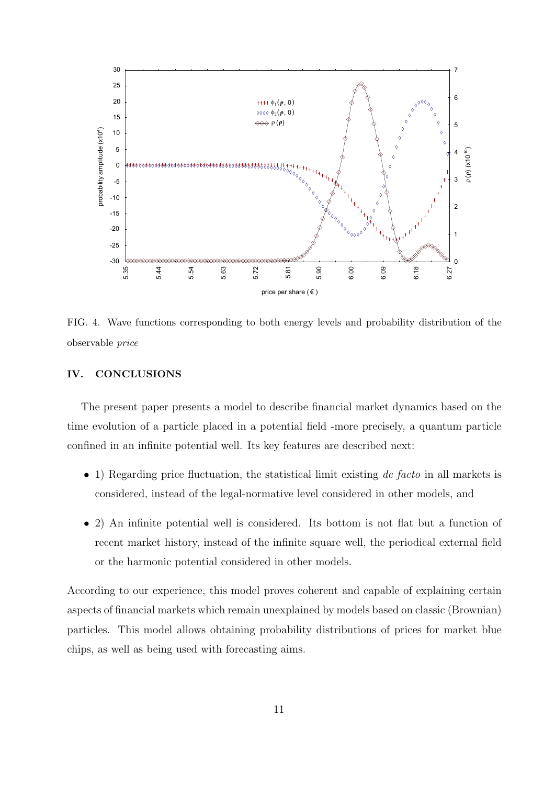

FIG. 4. Wave functions corresponding to both energy levels and probability distribution of the observable *price*

# **IV. CONCLUSIONS**

The present paper presents a model to describe financial market dynamics based on the time evolution of a particle placed in a potential field -more precisely, a quantum particle confined in an infinite potential well. Its key features are described next:

- *•* 1) Regarding price fluctuation, the statistical limit existing *de facto* in all markets is considered, instead of the legal-normative level considered in other models, and
- 2) An infinite potential well is considered. Its bottom is not flat but a function of recent market history, instead of the infinite square well, the periodical external field or the harmonic potential considered in other models.

According to our experience, this model proves coherent and capable of explaining certain aspects of financial markets which remain unexplained by models based on classic (Brownian) particles. This model allows obtaining probability distributions of prices for market blue chips, as well as being used with forecasting aims.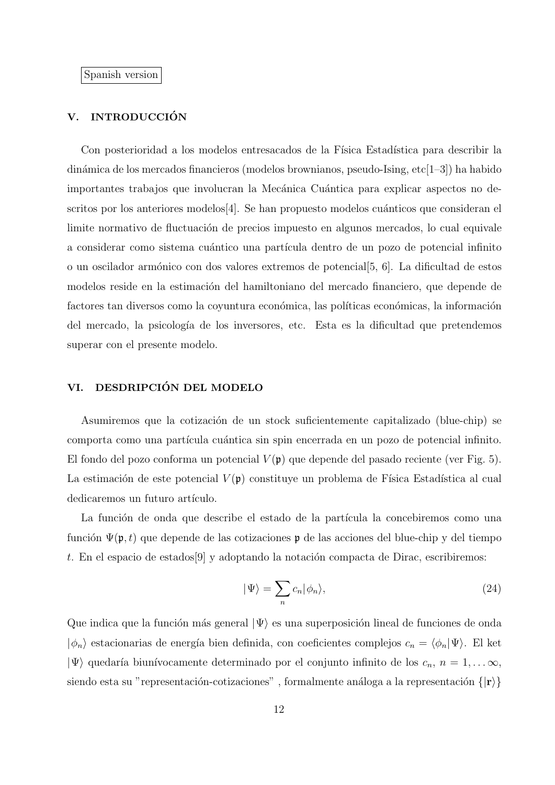Spanish version

# V. INTRODUCCIÓN

Con posterioridad a los modelos entresacados de la Física Estadística para describir la dinámica de los mercados financieros (modelos brownianos, pseudo-Ising, etc $[1-3]$ ) ha habido importantes trabajos que involucran la Mecánica Cuántica para explicar aspectos no descritos por los anteriores modelos [4]. Se han propuesto modelos cuánticos que consideran el limite normativo de fluctuación de precios impuesto en algunos mercados, lo cual equivalente a considerar como sistema cuántico una partícula dentro de un pozo de potencial infinito o un oscilador arm´onico con dos valores extremos de potencial[5, 6]. La dificultad de estos modelos reside en la estimación del hamiltoniano del mercado financiero, que depende de factores tan diversos como la coyuntura económica, las políticas económicas, la información del mercado, la psicolog´ıa de los inversores, etc. Esta es la dificultad que pretendemos superar con el presente modelo.

## **VI. DESDRIPCION DEL MODELO ´**

Asumiremos que la cotización de un stock suficientemente capitalizado (blue-chip) se comporta como una partícula cuántica sin spin encerrada en un pozo de potencial infinito. El fondo del pozo conforma un potencial  $V(\mathfrak{p})$  que depende del pasado reciente (ver Fig. 5). La estimación de este potencial  $V(\mathfrak{p})$  constituye un problema de Física Estadística al cual dedicaremos un futuro artículo.

La función de onda que describe el estado de la partícula la concebiremos como una función  $\Psi(\mathfrak{p}, t)$  que depende de las cotizaciones p de las acciones del blue-chip y del tiempo *t*. En el espacio de estados<sup>[9]</sup> y adoptando la notación compacta de Dirac, escribiremos:

$$
|\Psi\rangle = \sum_{n} c_n |\phi_n\rangle,\tag{24}
$$

Que indica que la función más general  $|\Psi\rangle$  es una superposición lineal de funciones de onda  $|\phi_n\rangle$  estacionarias de energía bien definida, con coeficientes complejos  $c_n = \langle \phi_n | \Psi \rangle$ . El ket  $|\Psi\rangle$  quedaría biunívocamente determinado por el conjunto infinito de los  $c_n$ ,  $n = 1, \ldots \infty$ , siendo esta su "representación-cotizaciones", formalmente análoga a la representación  $\{|\mathbf{r}\rangle\}$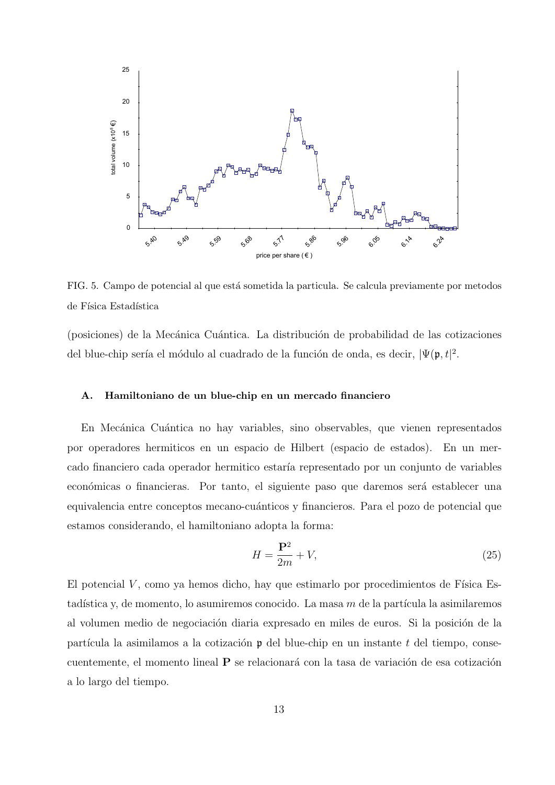

FIG. 5. Campo de potencial al que está sometida la particula. Se calcula previamente por metodos de Física Estadística

(posiciones) de la Mecánica Cuántica. La distribución de probabilidad de las cotizaciones del blue-chip sería el módulo al cuadrado de la función de onda, es decir,  $|\Psi(\mathfrak{p}, t)|^2$ .

## **A. Hamiltoniano de un blue-chip en un mercado financiero**

En Mecánica Cuántica no hay variables, sino observables, que vienen representados por operadores hermiticos en un espacio de Hilbert (espacio de estados). En un mercado financiero cada operador hermitico estar´ıa representado por un conjunto de variables económicas o financieras. Por tanto, el siguiente paso que daremos será establecer una equivalencia entre conceptos mecano-cuánticos y financieros. Para el pozo de potencial que estamos considerando, el hamiltoniano adopta la forma:

$$
H = \frac{\mathbf{P}^2}{2m} + V,\tag{25}
$$

El potencial  $V$ , como ya hemos dicho, hay que estimarlo por procedimientos de Física Estadística y, de momento, lo asumiremos conocido. La masa m de la partícula la asimilaremos al volumen medio de negociación diaria expresado en miles de euros. Si la posición de la partícula la asimilamos a la cotización  $\mathfrak p$  del blue-chip en un instante  $t$  del tiempo, consecuentemente, el momento lineal P se relacionará con la tasa de variación de esa cotización a lo largo del tiempo.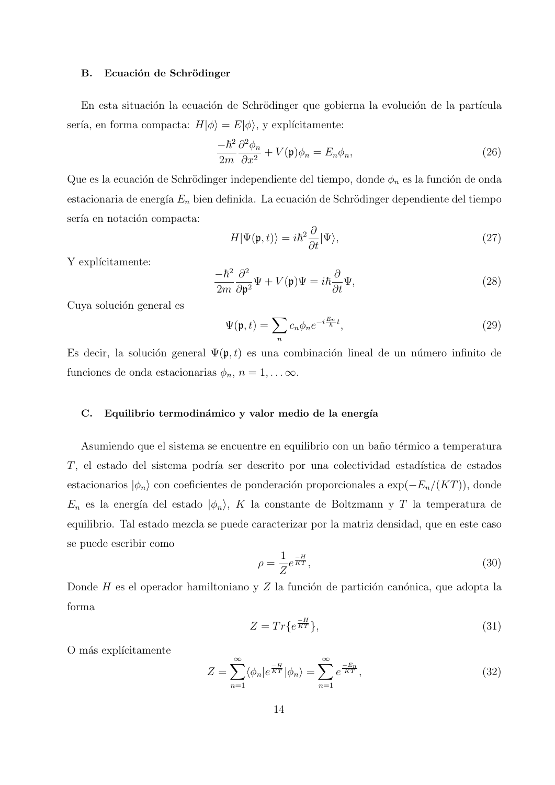### **B.** Ecuación de Schrödinger

En esta situación la ecuación de Schrödinger que gobierna la evolución de la partícula sería, en forma compacta:  $H|\phi\rangle = E|\phi\rangle$ , y explícitamente:

$$
\frac{-\hbar^2}{2m}\frac{\partial^2 \phi_n}{\partial x^2} + V(\mathfrak{p})\phi_n = E_n \phi_n,\tag{26}
$$

Que es la ecuación de Schrödinger independiente del tiempo, donde  $\phi_n$  es la función de onda estacionaria de energía  $E_n$  bien definida. La ecuación de Schrödinger dependiente del tiempo sería en notación compacta:

$$
H|\Psi(\mathfrak{p},t)\rangle = i\hbar^2 \frac{\partial}{\partial t}|\Psi\rangle,\tag{27}
$$

Y explícitamente:

$$
\frac{-\hbar^2}{2m}\frac{\partial^2}{\partial \mathfrak{p}^2}\Psi + V(\mathfrak{p})\Psi = i\hbar\frac{\partial}{\partial t}\Psi,
$$
\n(28)

Cuya solución general es

$$
\Psi(\mathfrak{p},t) = \sum_{n} c_n \phi_n e^{-i\frac{E_n}{\hbar}t},\tag{29}
$$

Es decir, la solución general  $\Psi(\mathfrak{p}, t)$  es una combinación lineal de un número infinito de funciones de onda estacionarias  $\phi_n$ ,  $n = 1, \ldots \infty$ .

## C. Equilibrio termodinámico y valor medio de la energía

Asumiendo que el sistema se encuentre en equilibrio con un baño térmico a temperatura *T*, el estado del sistema podría ser descrito por una colectividad estadística de estados estacionarios  $|\phi_n\rangle$  con coeficientes de ponderación proporcionales a exp( $-E_n/(KT)$ ), donde  $E_n$  es la energía del estado  $|\phi_n\rangle$ , *K* la constante de Boltzmann y *T* la temperatura de equilibrio. Tal estado mezcla se puede caracterizar por la matriz densidad, que en este caso se puede escribir como

$$
\rho = \frac{1}{Z} e^{\frac{-H}{KT}},\tag{30}
$$

Donde *H* es el operador hamiltoniano y *Z* la función de partición canónica, que adopta la forma

$$
Z = Tr\{e^{\frac{-H}{KT}}\},\tag{31}
$$

O más explícitamente

$$
Z = \sum_{n=1}^{\infty} \langle \phi_n | e^{\frac{-H}{KT}} | \phi_n \rangle = \sum_{n=1}^{\infty} e^{\frac{-E_n}{KT}}, \qquad (32)
$$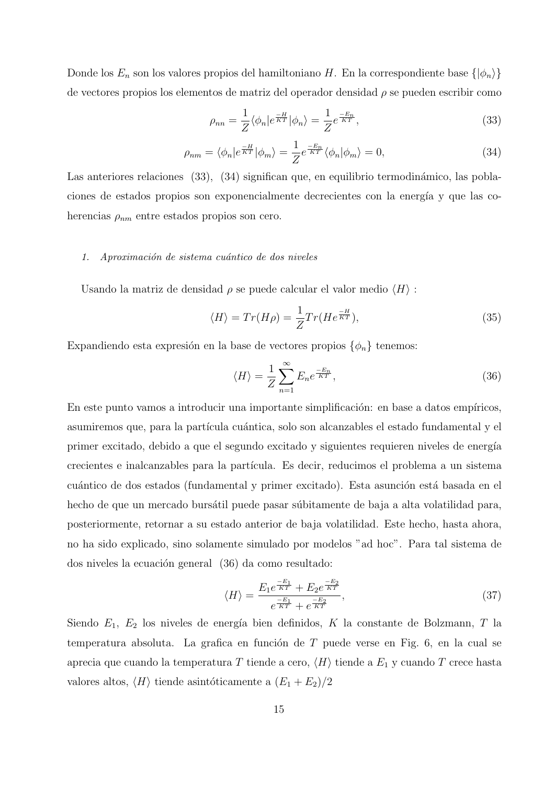Donde los  $E_n$  son los valores propios del hamiltoniano *H*. En la correspondiente base  $\{\ket{\phi_n}\}$ de vectores propios los elementos de matriz del operador densidad *ρ* se pueden escribir como

$$
\rho_{nn} = \frac{1}{Z} \langle \phi_n | e^{\frac{-H}{KT}} | \phi_n \rangle = \frac{1}{Z} e^{\frac{-E_n}{KT}}, \qquad (33)
$$

$$
\rho_{nm} = \langle \phi_n | e^{\frac{-H}{KT}} | \phi_m \rangle = \frac{1}{Z} e^{\frac{-E_n}{KT}} \langle \phi_n | \phi_m \rangle = 0, \tag{34}
$$

Las anteriores relaciones (33), (34) significan que, en equilibrio termodinámico, las poblaciones de estados propios son exponencialmente decrecientes con la energía y que las coherencias *ρnm* entre estados propios son cero.

# *1. Aproximaci´on de sistema cu´antico de dos niveles*

Usando la matriz de densidad *ρ* se puede calcular el valor medio *⟨H⟩* :

$$
\langle H \rangle = Tr(H\rho) = \frac{1}{Z} Tr(He^{\frac{-H}{KT}}),\tag{35}
$$

Expandiendo esta expresión en la base de vectores propios  $\{\phi_n\}$  tenemos:

$$
\langle H \rangle = \frac{1}{Z} \sum_{n=1}^{\infty} E_n e^{\frac{-E_n}{KT}},\tag{36}
$$

En este punto vamos a introducir una importante simplificación: en base a datos empíricos, asumiremos que, para la partícula cuántica, solo son alcanzables el estado fundamental y el primer excitado, debido a que el segundo excitado y siguientes requieren niveles de energía crecientes e inalcanzables para la partícula. Es decir, reducimos el problema a un sistema cuántico de dos estados (fundamental y primer excitado). Esta asunción está basada en el hecho de que un mercado bursátil puede pasar súbitamente de baja a alta volatilidad para, posteriormente, retornar a su estado anterior de baja volatilidad. Este hecho, hasta ahora, no ha sido explicado, sino solamente simulado por modelos "ad hoc". Para tal sistema de dos niveles la ecuación general (36) da como resultado:

$$
\langle H \rangle = \frac{E_1 e^{\frac{-E_1}{KT}} + E_2 e^{\frac{-E_2}{KT}}}{e^{\frac{-E_1}{KT}} + e^{\frac{-E_2}{KT}}},\tag{37}
$$

Siendo  $E_1$ ,  $E_2$  los niveles de energía bien definidos,  $K$  la constante de Bolzmann,  $T$  la temperatura absoluta. La grafica en función de T puede verse en Fig. 6, en la cual se aprecia que cuando la temperatura *T* tiende a cero, *⟨H⟩* tiende a *E*<sup>1</sup> y cuando *T* crece hasta valores altos,  $\langle H \rangle$  tiende asintóticamente a  $(E_1 + E_2)/2$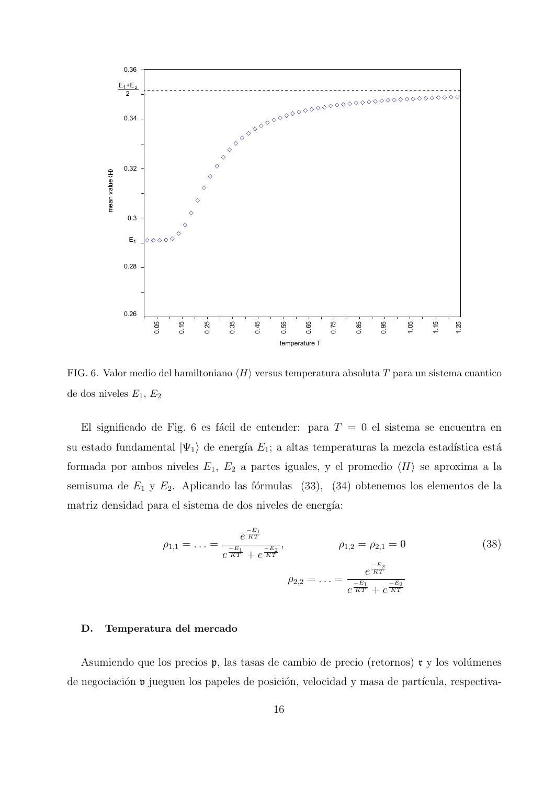

FIG. 6. Valor medio del hamiltoniano *⟨H⟩* versus temperatura absoluta *T* para un sistema cuantico de dos niveles *E*1, *E*<sup>2</sup>

El significado de Fig. 6 es fácil de entender: para  $T = 0$  el sistema se encuentra en su estado fundamental  $|\Psi_1\rangle$  de energía  $E_1$ ; a altas temperaturas la mezcla estadística está formada por ambos niveles  $E_1$ ,  $E_2$  a partes iguales, y el promedio  $\langle H \rangle$  se aproxima a la semisuma de  $E_1$  y  $E_2$ . Aplicando las fórmulas (33), (34) obtenemos los elementos de la matriz densidad para el sistema de dos niveles de energía:

$$
\rho_{1,1} = \dots = \frac{e^{\frac{-E_1}{KT}}}{e^{\frac{-E_1}{KT}} + e^{\frac{-E_2}{KT}}}, \qquad \rho_{1,2} = \rho_{2,1} = 0 \tag{38}
$$
\n
$$
\rho_{2,2} = \dots = \frac{e^{\frac{-E_2}{KT}}}{e^{\frac{-E_1}{KT}} + e^{\frac{-E_2}{KT}}}
$$

## **D. Temperatura del mercado**

Asumiendo que los precios  $\mathfrak{p}$ , las tasas de cambio de precio (retornos)  $\mathfrak{r}$  y los volúmenes de negociación  $\nu$  jueguen los papeles de posición, velocidad y masa de partícula, respectiva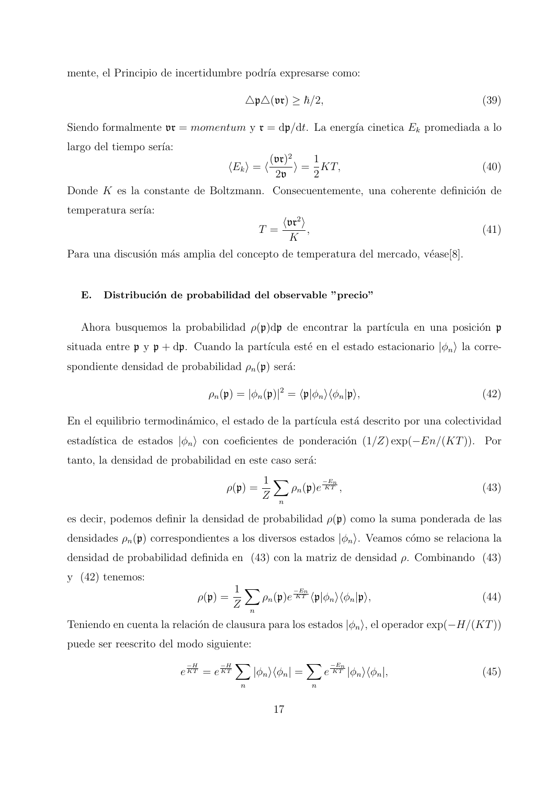mente, el Principio de incertidumbre podría expresarse como:

$$
\Delta \mathfrak{p} \Delta(\mathfrak{v} \mathfrak{r}) \geq \hbar/2,\tag{39}
$$

Siendo formalmente  $\mathfrak{v}\mathfrak{r} = momentum \mathfrak{y}\mathfrak{r} = d\mathfrak{p}/dt$ . La energía cinetica  $E_k$  promediada a lo largo del tiempo sería:

$$
\langle E_k \rangle = \langle \frac{(\mathfrak{v} \mathfrak{r})^2}{2\mathfrak{v}} \rangle = \frac{1}{2} KT,
$$
\n(40)

Donde K es la constante de Boltzmann. Consecuentemente, una coherente definición de temperatura sería:

$$
T = \frac{\langle \mathfrak{v} \mathfrak{r}^2 \rangle}{K},\tag{41}
$$

Para una discusión más amplia del concepto de temperatura del mercado, véase[8].

## E. Distribución de probabilidad del observable "precio"

Ahora busquemos la probabilidad  $\rho(\mathfrak{p})d\mathfrak{p}$  de encontrar la partícula en una posición p situada entre  $\mathfrak{p}$  y  $\mathfrak{p}$  + d $\mathfrak{p}$ . Cuando la partícula esté en el estado estacionario  $|\phi_n\rangle$  la correspondiente densidad de probabilidad  $\rho_n(\mathfrak{p})$  será:

$$
\rho_n(\mathfrak{p}) = |\phi_n(\mathfrak{p})|^2 = \langle \mathfrak{p} | \phi_n \rangle \langle \phi_n | \mathfrak{p} \rangle, \tag{42}
$$

En el equilibrio termodinámico, el estado de la partícula está descrito por una colectividad estadística de estados  $|\phi_n\rangle$  con coeficientes de ponderación  $(1/Z) \exp(-En/(KT))$ . Por tanto, la densidad de probabilidad en este caso será:

$$
\rho(\mathfrak{p}) = \frac{1}{Z} \sum_{n} \rho_n(\mathfrak{p}) e^{\frac{-E_n}{KT}}, \qquad (43)
$$

es decir, podemos definir la densidad de probabilidad *ρ*(p) como la suma ponderada de las densidades  $\rho_n(\mathfrak{p})$  correspondientes a los diversos estados  $|\phi_n\rangle$ . Veamos cómo se relaciona la densidad de probabilidad definida en (43) con la matriz de densidad *ρ*. Combinando (43) y (42) tenemos:

$$
\rho(\mathfrak{p}) = \frac{1}{Z} \sum_{n} \rho_n(\mathfrak{p}) e^{\frac{-E_n}{KT}} \langle \mathfrak{p} | \phi_n \rangle \langle \phi_n | \mathfrak{p} \rangle, \tag{44}
$$

Teniendo en cuenta la relaci´on de clausura para los estados *|ϕn⟩*, el operador exp(*−H/*(*KT*)) puede ser reescrito del modo siguiente:

$$
e^{\frac{-H}{KT}} = e^{\frac{-H}{KT}} \sum_{n} |\phi_n\rangle\langle\phi_n| = \sum_{n} e^{\frac{-E_n}{KT}} |\phi_n\rangle\langle\phi_n|,
$$
 (45)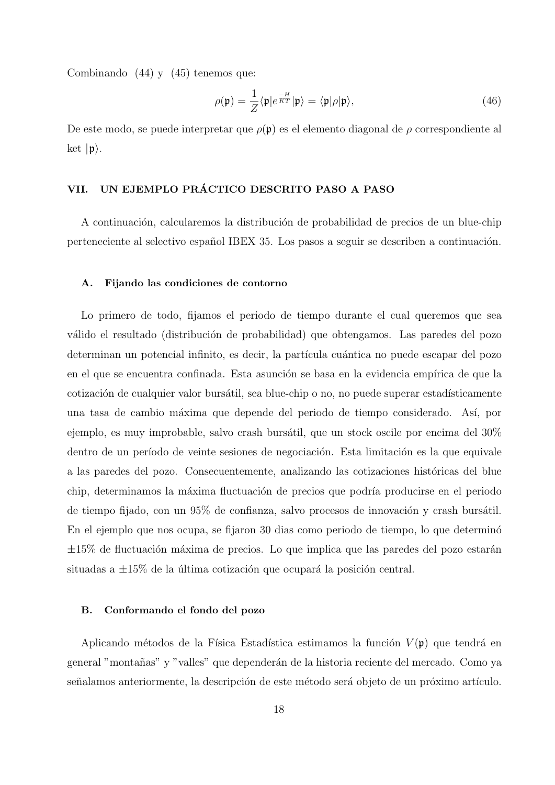Combinando (44) y (45) tenemos que:

$$
\rho(\mathfrak{p}) = \frac{1}{Z} \langle \mathfrak{p} | e^{\frac{-H}{KT}} | \mathfrak{p} \rangle = \langle \mathfrak{p} | \rho | \mathfrak{p} \rangle, \tag{46}
$$

De este modo, se puede interpretar que  $\rho(\mathfrak{p})$  es el elemento diagonal de  $\rho$  correspondiente al ket  $|\mathfrak{p}\rangle$ .

# **VII. UN EJEMPLO PRACTICO DESCRITO PASO A PASO ´**

A continuación, calcularemos la distribución de probabilidad de precios de un blue-chip perteneciente al selectivo español IBEX 35. Los pasos a seguir se describen a continuación.

## **A. Fijando las condiciones de contorno**

Lo primero de todo, fijamos el periodo de tiempo durante el cual queremos que sea válido el resultado (distribución de probabilidad) que obtengamos. Las paredes del pozo determinan un potencial infinito, es decir, la partícula cuántica no puede escapar del pozo en el que se encuentra confinada. Esta asunción se basa en la evidencia empírica de que la cotización de cualquier valor bursátil, sea blue-chip o no, no puede superar estadísticamente una tasa de cambio m´axima que depende del periodo de tiempo considerado. As´ı, por ejemplo, es muy improbable, salvo crash bursátil, que un stock oscile por encima del 30% dentro de un período de veinte sesiones de negociación. Esta limitación es la que equivale a las paredes del pozo. Consecuentemente, analizando las cotizaciones históricas del blue chip, determinamos la máxima fluctuación de precios que podría producirse en el periodo de tiempo fijado, con un  $95\%$  de confianza, salvo procesos de innovación y crash bursátil. En el ejemplo que nos ocupa, se fijaron 30 dias como periodo de tiempo, lo que determinó ±15% de fluctuación máxima de precios. Lo que implica que las paredes del pozo estarán situadas a  $\pm 15\%$  de la última cotización que ocupará la posición central.

## **B. Conformando el fondo del pozo**

Aplicando métodos de la Física Estadística estimamos la función  $V(\mathfrak{p})$  que tendrá en general "montañas" y "valles" que dependerán de la historia reciente del mercado. Como ya señalamos anteriormente, la descripción de este método será objeto de un próximo artículo.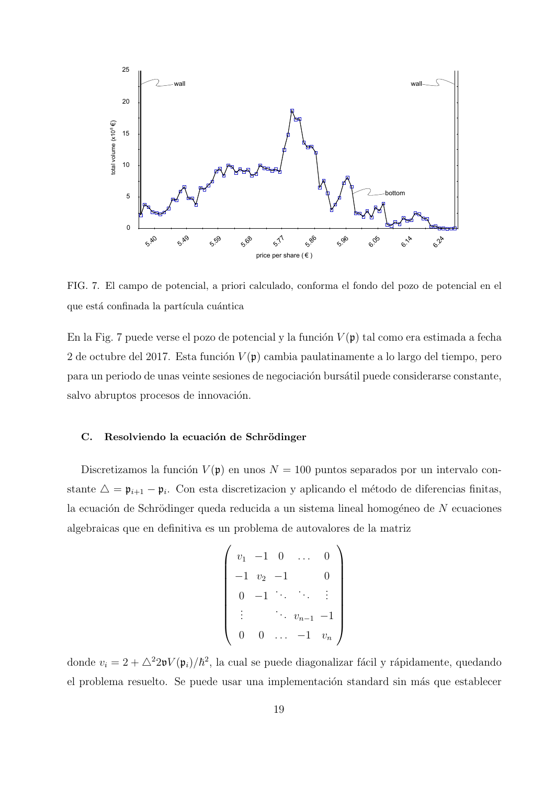

FIG. 7. El campo de potencial, a priori calculado, conforma el fondo del pozo de potencial en el que está confinada la partícula cuántica

En la Fig. 7 puede verse el pozo de potencial y la función  $V(\mathfrak{p})$  tal como era estimada a fecha 2 de octubre del 2017. Esta función  $V(\mathfrak{p})$  cambia paulatinamente a lo largo del tiempo, pero para un periodo de unas veinte sesiones de negociación bursátil puede considerarse constante, salvo abruptos procesos de innovación.

## **C.** Resolviendo la ecuación de Schrödinger

Discretizamos la función  $V(\mathfrak{p})$  en unos  $N = 100$  puntos separados por un intervalo constante  $\Delta = \mathfrak{p}_{i+1} - \mathfrak{p}_i$ . Con esta discretizacion y aplicando el método de diferencias finitas, la ecuación de Schrödinger queda reducida a un sistema lineal homogéneo de N ecuaciones algebraicas que en definitiva es un problema de autovalores de la matriz

$$
\begin{pmatrix}\nv_1 & -1 & 0 & \dots & 0 \\
-1 & v_2 & -1 & & 0 \\
0 & -1 & \ddots & \ddots & \vdots \\
\vdots & & \ddots & v_{n-1} & -1 \\
0 & 0 & \dots & -1 & v_n\n\end{pmatrix}
$$

donde  $v_i = 2 + \Delta^2 2\mathfrak{v} V(\mathfrak{p}_i)/\hbar^2$ , la cual se puede diagonalizar fácil y rápidamente, quedando el problema resuelto. Se puede usar una implementación standard sin más que establecer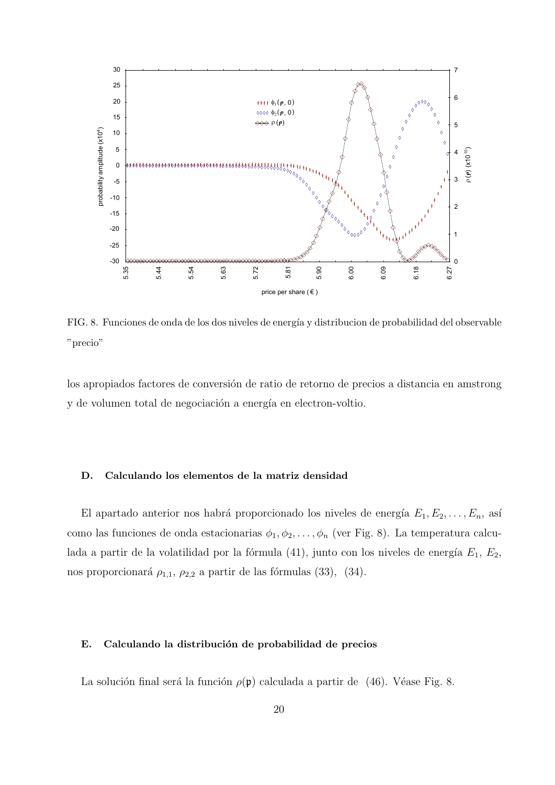

FIG. 8. Funciones de onda de los dos niveles de energía y distribucion de probabilidad del observable "precio"

los apropiados factores de conversión de ratio de retorno de precios a distancia en amstrong y de volumen total de negociación a energía en electron-voltio.

## **D. Calculando los elementos de la matriz densidad**

El apartado anterior nos habrá proporcionado los niveles de energía  $E_1, E_2, \ldots, E_n$ , así como las funciones de onda estacionarias  $\phi_1, \phi_2, \ldots, \phi_n$  (ver Fig. 8). La temperatura calculada a partir de la volatilidad por la fórmula  $(41)$ , junto con los niveles de energía  $E_1, E_2$ , nos proporcionará  $\rho_{1,1}, \rho_{2,2}$  a partir de las fórmulas (33), (34).

## E. Calculando la distribución de probabilidad de precios

La solución final será la función  $\rho(\mathfrak{p})$  calculada a partir de (46). Véase Fig. 8.